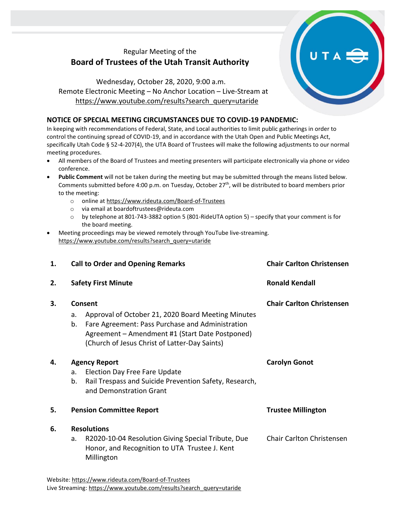## Regular Meeting of the **Board of Trustees of the Utah Transit Authority**

Wednesday, October 28, 2020, 9:00 a.m. Remote Electronic Meeting – No Anchor Location – Live-Stream at [https://www.youtube.com/results?search\\_query=utaride](https://www.youtube.com/results?search_query=utaride)

## **NOTICE OF SPECIAL MEETING CIRCUMSTANCES DUE TO COVID-19 PANDEMIC:**

In keeping with recommendations of Federal, State, and Local authorities to limit public gatherings in order to control the continuing spread of COVID-19, and in accordance with the Utah Open and Public Meetings Act, specifically Utah Code § 52-4-207(4), the UTA Board of Trustees will make the following adjustments to our normal meeting procedures.

- All members of the Board of Trustees and meeting presenters will participate electronically via phone or video conference.
- **Public Comment** will not be taken during the meeting but may be submitted through the means listed below. Comments submitted before 4:00 p.m. on Tuesday, October 27<sup>th</sup>, will be distributed to board members prior to the meeting:
	- o online at<https://www.rideuta.com/Board-of-Trustees>
	- o via email at [boardoftrustees@rideuta.com](mailto:boardoftrustees@rideuta.com)
	- o by telephone at 801-743-3882 option 5 (801-RideUTA option 5) specify that your comment is for the board meeting.
- Meeting proceedings may be viewed remotely through YouTube live-streaming. [https://www.youtube.com/results?search\\_query=utaride](https://www.youtube.com/results?search_query=utaride)

| 1. | <b>Call to Order and Opening Remarks</b>                                                                                                                                                                                          | <b>Chair Carlton Christensen</b> |
|----|-----------------------------------------------------------------------------------------------------------------------------------------------------------------------------------------------------------------------------------|----------------------------------|
| 2. | <b>Safety First Minute</b>                                                                                                                                                                                                        | <b>Ronald Kendall</b>            |
| З. | Consent<br>Approval of October 21, 2020 Board Meeting Minutes<br>a.<br>Fare Agreement: Pass Purchase and Administration<br>b.<br>Agreement - Amendment #1 (Start Date Postponed)<br>(Church of Jesus Christ of Latter-Day Saints) | <b>Chair Carlton Christensen</b> |
| 4. | <b>Agency Report</b><br>Election Day Free Fare Update<br>a.<br>Rail Trespass and Suicide Prevention Safety, Research,<br>b.<br>and Demonstration Grant                                                                            | <b>Carolyn Gonot</b>             |
| 5. | <b>Pension Committee Report</b>                                                                                                                                                                                                   | <b>Trustee Millington</b>        |
| 6. | <b>Resolutions</b><br>R2020-10-04 Resolution Giving Special Tribute, Due<br>a.                                                                                                                                                    | <b>Chair Carlton Christensen</b> |
|    | Honor, and Recognition to UTA Trustee J. Kent<br>Millington                                                                                                                                                                       |                                  |